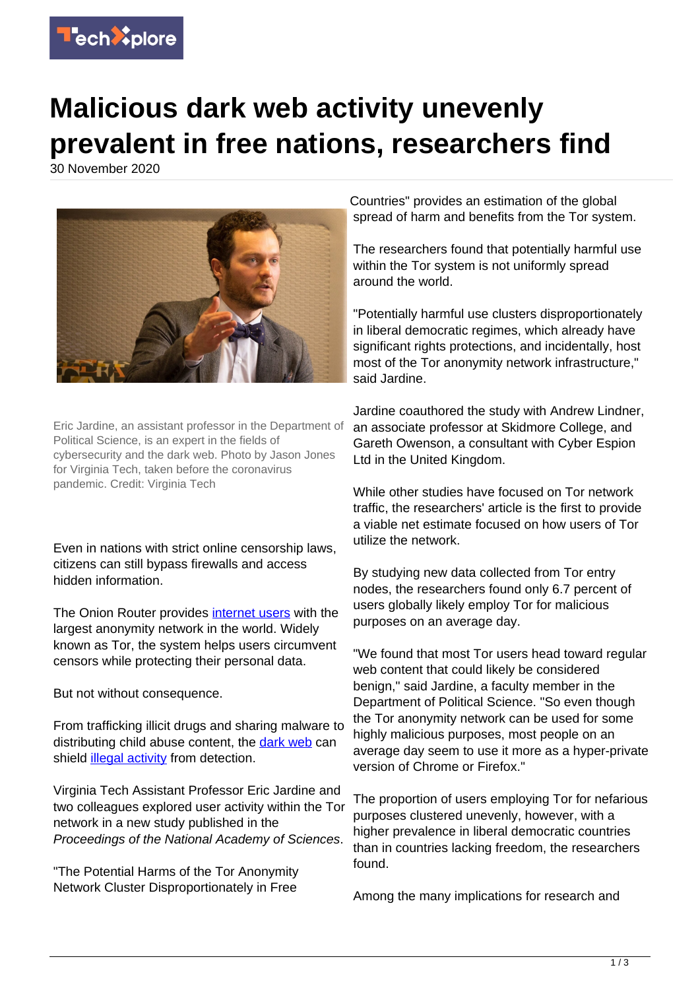

## **Malicious dark web activity unevenly prevalent in free nations, researchers find**

30 November 2020



Eric Jardine, an assistant professor in the Department of Political Science, is an expert in the fields of cybersecurity and the dark web. Photo by Jason Jones for Virginia Tech, taken before the coronavirus pandemic. Credit: Virginia Tech

Even in nations with strict online censorship laws, citizens can still bypass firewalls and access hidden information.

The Onion Router provides [internet users](https://techxplore.com/tags/internet+users/) with the largest anonymity network in the world. Widely known as Tor, the system helps users circumvent censors while protecting their personal data.

But not without consequence.

From trafficking illicit drugs and sharing malware to distributing child abuse content, the [dark web](https://techxplore.com/tags/dark+web/) can shield [illegal activity](https://techxplore.com/tags/illegal+activity/) from detection.

Virginia Tech Assistant Professor Eric Jardine and two colleagues explored user activity within the Tor network in a new study published in the Proceedings of the National Academy of Sciences.

"The Potential Harms of the Tor Anonymity Network Cluster Disproportionately in Free

Countries" provides an estimation of the global spread of harm and benefits from the Tor system.

The researchers found that potentially harmful use within the Tor system is not uniformly spread around the world.

"Potentially harmful use clusters disproportionately in liberal democratic regimes, which already have significant rights protections, and incidentally, host most of the Tor anonymity network infrastructure," said Jardine.

Jardine coauthored the study with Andrew Lindner, an associate professor at Skidmore College, and Gareth Owenson, a consultant with Cyber Espion Ltd in the United Kingdom.

While other studies have focused on Tor network traffic, the researchers' article is the first to provide a viable net estimate focused on how users of Tor utilize the network.

By studying new data collected from Tor entry nodes, the researchers found only 6.7 percent of users globally likely employ Tor for malicious purposes on an average day.

"We found that most Tor users head toward regular web content that could likely be considered benign," said Jardine, a faculty member in the Department of Political Science. "So even though the Tor anonymity network can be used for some highly malicious purposes, most people on an average day seem to use it more as a hyper-private version of Chrome or Firefox."

The proportion of users employing Tor for nefarious purposes clustered unevenly, however, with a higher prevalence in liberal democratic countries than in countries lacking freedom, the researchers found.

Among the many implications for research and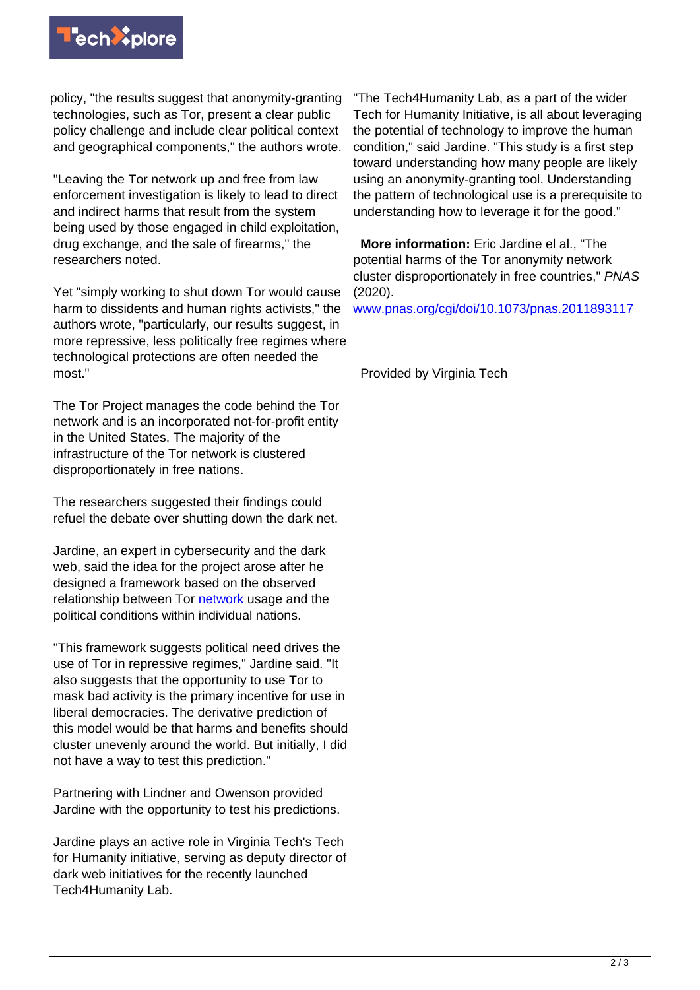

policy, "the results suggest that anonymity-granting technologies, such as Tor, present a clear public policy challenge and include clear political context and geographical components," the authors wrote.

"Leaving the Tor network up and free from law enforcement investigation is likely to lead to direct and indirect harms that result from the system being used by those engaged in child exploitation, drug exchange, and the sale of firearms," the researchers noted.

Yet "simply working to shut down Tor would cause harm to dissidents and human rights activists," the authors wrote, "particularly, our results suggest, in more repressive, less politically free regimes where technological protections are often needed the most."

The Tor Project manages the code behind the Tor network and is an incorporated not-for-profit entity in the United States. The majority of the infrastructure of the Tor network is clustered disproportionately in free nations.

The researchers suggested their findings could refuel the debate over shutting down the dark net.

Jardine, an expert in cybersecurity and the dark web, said the idea for the project arose after he designed a framework based on the observed relationship between Tor [network](https://techxplore.com/tags/network/) usage and the political conditions within individual nations.

"This framework suggests political need drives the use of Tor in repressive regimes," Jardine said. "It also suggests that the opportunity to use Tor to mask bad activity is the primary incentive for use in liberal democracies. The derivative prediction of this model would be that harms and benefits should cluster unevenly around the world. But initially, I did not have a way to test this prediction."

Partnering with Lindner and Owenson provided Jardine with the opportunity to test his predictions.

Jardine plays an active role in Virginia Tech's Tech for Humanity initiative, serving as deputy director of dark web initiatives for the recently launched Tech4Humanity Lab.

"The Tech4Humanity Lab, as a part of the wider Tech for Humanity Initiative, is all about leveraging the potential of technology to improve the human condition," said Jardine. "This study is a first step toward understanding how many people are likely using an anonymity-granting tool. Understanding the pattern of technological use is a prerequisite to understanding how to leverage it for the good."

 **More information:** Eric Jardine el al., "The potential harms of the Tor anonymity network cluster disproportionately in free countries," PNAS (2020).

[www.pnas.org/cgi/doi/10.1073/pnas.2011893117](https://www.pnas.org/cgi/doi/10.1073/pnas.2011893117)

Provided by Virginia Tech